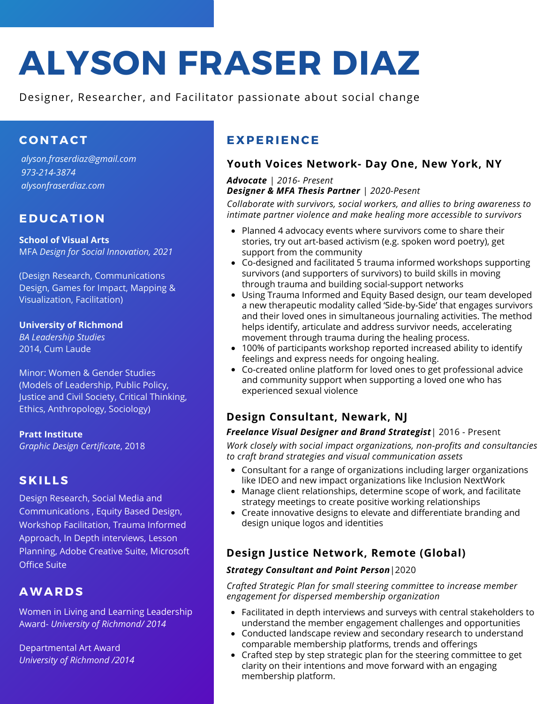# **ALYSON FRASER DIAZ**

Designer, Researcher, and Facilitator passionate about social change

# **C O NTACT**

*alyson.fraserdiaz@gmail.com 973-214-3874 alysonfraserdiaz.com*

# **EDUCATI O N**

**School of Visual Arts** MFA *Design for Social Innovation, 2021*

(Design Research, Communications Design, Games for Impact, Mapping & Visualization, Facilitation)

**University of Richmond** *BA Leadership Studies*

2014, Cum Laude

Minor: Women & Gender Studies (Models of Leadership, Public Policy, Justice and Civil Society, Critical Thinking, Ethics, Anthropology, Sociology)

**Pratt Institute** *Graphic Design Certificate*, 2018

# **S K I L LS**

Design Research, Social Media and Communications , Equity Based Design, Workshop Facilitation, Trauma Informed Approach, In Depth interviews, Lesson Planning, Adobe Creative Suite, Microsoft Office Suite

# **AWARDS**

Women in Living and Learning Leadership Award- *University of Richmond/ 2014*

Departmental Art Award *University of Richmond /2014*

# **E X PE R IENCE**

## **Youth Voices Network- Day One, New York, NY**

#### *Advocate | 2016- Present Designer & MFA Thesis Partner | 2020-Pesent*

*Collaborate with survivors, social workers, and allies to bring awareness to intimate partner violence and make healing more accessible to survivors*

- Planned 4 advocacy events where survivors come to share their stories, try out art-based activism (e.g. spoken word poetry), get support from the community
- Co-designed and facilitated 5 trauma informed workshops supporting survivors (and supporters of survivors) to build skills in moving through trauma and building social-support networks
- Using Trauma Informed and Equity Based design, our team developed a new therapeutic modality called 'Side-by-Side' that engages survivors and their loved ones in simultaneous journaling activities. The method helps identify, articulate and address survivor needs, accelerating movement through trauma during the healing process.
- 100% of participants workshop reported increased ability to identify feelings and express needs for ongoing healing.
- Co-created online platform for loved ones to get professional advice and community support when supporting a loved one who has experienced sexual violence

# **Design Consultant, Newark, NJ**

#### *Freelance Visual Designer and Brand Strategist*| 2016 - Present

*Work closely with social impact organizations, non-profits and consultancies to craft brand strategies and visual communication assets*

- Consultant for a range of organizations including larger organizations like IDEO and new impact organizations like Inclusion NextWork
- Manage client relationships, determine scope of work, and facilitate strategy meetings to create positive working relationships
- Create innovative designs to elevate and differentiate branding and design unique logos and identities

# **Design Justice Network, Remote (Global)**

#### *Strategy Consultant and Point Person*|2020

*Crafted Strategic Plan for small steering committee to increase member engagement for dispersed membership organization*

- Facilitated in depth interviews and surveys with central stakeholders to understand the member engagement challenges and opportunities
- Conducted landscape review and secondary research to understand comparable membership platforms, trends and offerings
- Crafted step by step strategic plan for the steering committee to get clarity on their intentions and move forward with an engaging membership platform.